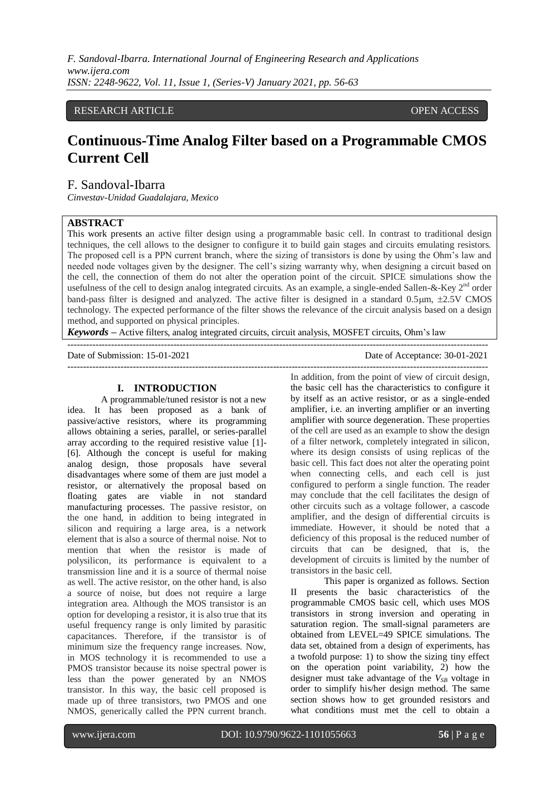*F. Sandoval-Ibarra. International Journal of Engineering Research and Applications www.ijera.com ISSN: 2248-9622, Vol. 11, Issue 1, (Series-V) January 2021, pp. 56-63*

# RESEARCH ARTICLE **CONSERVERS** OPEN ACCESS

# **Continuous-Time Analog Filter based on a Programmable CMOS Current Cell**

# F. Sandoval-Ibarra

*Cinvestav-Unidad Guadalajara, Mexico*

### **ABSTRACT**

This work presents an active filter design using a programmable basic cell. In contrast to traditional design techniques, the cell allows to the designer to configure it to build gain stages and circuits emulating resistors. The proposed cell is a PPN current branch, where the sizing of transistors is done by using the Ohm's law and needed node voltages given by the designer. The cell's sizing warranty why, when designing a circuit based on the cell, the connection of them do not alter the operation point of the circuit. SPICE simulations show the usefulness of the cell to design analog integrated circuits. As an example, a single-ended Sallen-&-Key 2<sup>nd</sup> order band-pass filter is designed and analyzed. The active filter is designed in a standard  $0.5 \mu m$ ,  $\pm 2.5 V$  CMOS technology. The expected performance of the filter shows the relevance of the circuit analysis based on a design method, and supported on physical principles.

*Keywords* **–** Active filters, analog integrated circuits, circuit analysis, MOSFET circuits, Ohm's law

---------------------------------------------------------------------------------------------------------------------------------------

Date of Submission: 15-01-2021 Date of Acceptance: 30-01-2021 ---------------------------------------------------------------------------------------------------------------------------------------

#### **I. INTRODUCTION**

A programmable/tuned resistor is not a new idea. It has been proposed as a bank of passive/active resistors, where its programming allows obtaining a series, parallel, or series-parallel array according to the required resistive value [1]- [6]. Although the concept is useful for making analog design, those proposals have several disadvantages where some of them are just model a resistor, or alternatively the proposal based on floating gates are viable in not standard manufacturing processes. The passive resistor, on the one hand, in addition to being integrated in silicon and requiring a large area, is a network element that is also a source of thermal noise. Not to mention that when the resistor is made of polysilicon, its performance is equivalent to a transmission line and it is a source of thermal noise as well. The active resistor, on the other hand, is also a source of noise, but does not require a large integration area. Although the MOS transistor is an option for developing a resistor, it is also true that its useful frequency range is only limited by parasitic capacitances. Therefore, if the transistor is of minimum size the frequency range increases. Now, in MOS technology it is recommended to use a PMOS transistor because its noise spectral power is less than the power generated by an NMOS transistor. In this way, the basic cell proposed is made up of three transistors, two PMOS and one NMOS, generically called the PPN current branch.

In addition, from the point of view of circuit design, the basic cell has the characteristics to configure it by itself as an active resistor, or as a single-ended amplifier, i.e. an inverting amplifier or an inverting amplifier with source degeneration. These properties of the cell are used as an example to show the design of a filter network, completely integrated in silicon, where its design consists of using replicas of the basic cell. This fact does not alter the operating point when connecting cells, and each cell is just configured to perform a single function. The reader may conclude that the cell facilitates the design of other circuits such as a voltage follower, a cascode amplifier, and the design of differential circuits is immediate. However, it should be noted that a deficiency of this proposal is the reduced number of circuits that can be designed, that is, the development of circuits is limited by the number of transistors in the basic cell.

This paper is organized as follows. Section II presents the basic characteristics of the programmable CMOS basic cell, which uses MOS transistors in strong inversion and operating in saturation region. The small-signal parameters are obtained from LEVEL=49 SPICE simulations. The data set, obtained from a design of experiments, has a twofold purpose: 1) to show the sizing tiny effect on the operation point variability, 2) how the designer must take advantage of the  $V_{SB}$  voltage in order to simplify his/her design method. The same section shows how to get grounded resistors and what conditions must met the cell to obtain a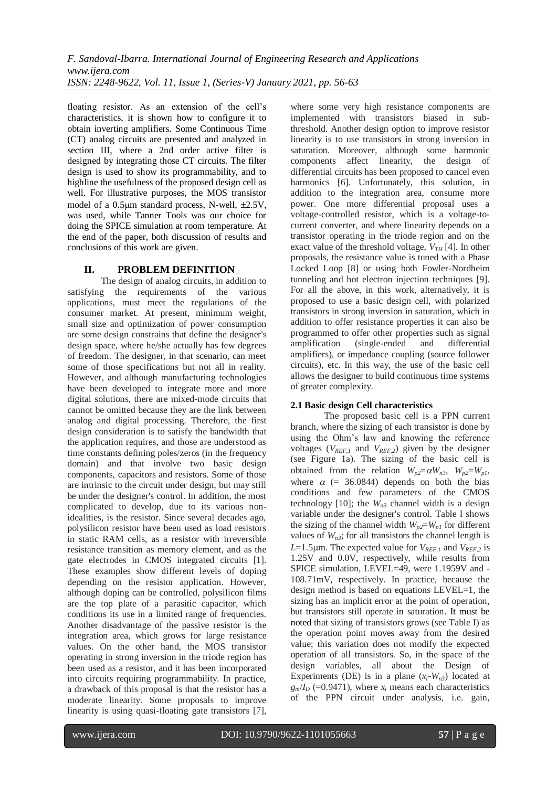floating resistor. As an extension of the cell's characteristics, it is shown how to configure it to obtain inverting amplifiers. Some Continuous Time (CT) analog circuits are presented and analyzed in section III, where a 2nd order active filter is designed by integrating those CT circuits. The filter design is used to show its programmability, and to highline the usefulness of the proposed design cell as well. For illustrative purposes, the MOS transistor model of a  $0.5\mu$ m standard process, N-well,  $\pm 2.5V$ , was used, while Tanner Tools was our choice for doing the SPICE simulation at room temperature. At the end of the paper, both discussion of results and conclusions of this work are given.

# **II. PROBLEM DEFINITION**

The design of analog circuits, in addition to satisfying the requirements of the various applications, must meet the regulations of the consumer market. At present, minimum weight, small size and optimization of power consumption are some design constrains that define the designer's design space, where he/she actually has few degrees of freedom. The designer, in that scenario, can meet some of those specifications but not all in reality. However, and although manufacturing technologies have been developed to integrate more and more digital solutions, there are mixed-mode circuits that cannot be omitted because they are the link between analog and digital processing. Therefore, the first design consideration is to satisfy the bandwidth that the application requires, and those are understood as time constants defining poles/zeros (in the frequency domain) and that involve two basic design components, capacitors and resistors. Some of those are intrinsic to the circuit under design, but may still be under the designer's control. In addition, the most complicated to develop, due to its various nonidealities, is the resistor. Since several decades ago, polysilicon resistor have been used as load resistors in static RAM cells, as a resistor with irreversible resistance transition as memory element, and as the gate electrodes in CMOS integrated circuits [1]. These examples show different levels of doping depending on the resistor application. However, although doping can be controlled, polysilicon films are the top plate of a parasitic capacitor, which conditions its use in a limited range of frequencies. Another disadvantage of the passive resistor is the integration area, which grows for large resistance values. On the other hand, the MOS transistor operating in strong inversion in the triode region has been used as a resistor, and it has been incorporated into circuits requiring programmability. In practice, a drawback of this proposal is that the resistor has a moderate linearity. Some proposals to improve linearity is using quasi-floating gate transistors [7],

where some very high resistance components are implemented with transistors biased in subthreshold. Another design option to improve resistor linearity is to use transistors in strong inversion in saturation. Moreover, although some harmonic components affect linearity, the design of differential circuits has been proposed to cancel even harmonics [6]. Unfortunately, this solution, in addition to the integration area, consume more power. One more differential proposal uses a voltage-controlled resistor, which is a voltage-tocurrent converter, and where linearity depends on a transistor operating in the triode region and on the exact value of the threshold voltage,  $V_{TH}$  [4]. In other proposals, the resistance value is tuned with a Phase Locked Loop [8] or using both Fowler-Nordheim tunneling and hot electron injection techniques [9]. For all the above, in this work, alternatively, it is proposed to use a basic design cell, with polarized transistors in strong inversion in saturation, which in addition to offer resistance properties it can also be programmed to offer other properties such as signal amplification (single-ended and differential amplifiers), or impedance coupling (source follower circuits), etc. In this way, the use of the basic cell allows the designer to build continuous time systems of greater complexity.

### **2.1 Basic design Cell characteristics**

The proposed basic cell is a PPN current branch, where the sizing of each transistor is done by using the Ohm's law and knowing the reference voltages ( $V_{REF,1}$  and  $V_{REF,2}$ ) given by the designer (see Figure 1a). The sizing of the basic cell is obtained from the relation  $W_{p2} = \alpha W_{n3}$ ,  $W_{p2} = W_{p1}$ , where  $\alpha$  (= 36.0844) depends on both the bias conditions and few parameters of the CMOS technology [10]; the  $W_{n3}$  channel width is a design variable under the designer's control. Table I shows the sizing of the channel width  $W_{p2} = W_{p1}$  for different values of  $W_{n3}$ ; for all transistors the channel length is *L*=1.5 $\mu$ m. The expected value for  $V_{RFF1}$  and  $V_{RFF2}$  is 1.25V and 0.0V, respectively, while results from SPICE simulation, LEVEL=49, were 1.1959V and - 108.71mV, respectively. In practice, because the design method is based on equations LEVEL=1, the sizing has an implicit error at the point of operation, but transistors still operate in saturation. It must be noted that sizing of transistors grows (see Table I) as the operation point moves away from the desired value; this variation does not modify the expected operation of all transistors. So, in the space of the design variables, all about the Design of Experiments (DE) is in a plane  $(x_i-W_n)$  located at  $g_m/I_D$  (=0.9471), where  $x_i$  means each characteristics of the PPN circuit under analysis, i.e. gain,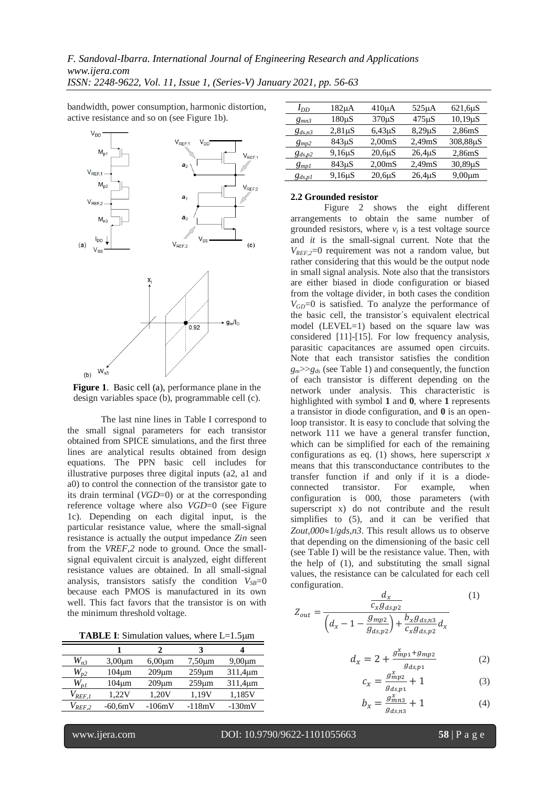*F. Sandoval-Ibarra. International Journal of Engineering Research and Applications www.ijera.com*

*ISSN: 2248-9622, Vol. 11, Issue 1, (Series-V) January 2021, pp. 56-63*

bandwidth, power consumption, harmonic distortion, active resistance and so on (see Figure 1b).



**Figure 1**. Basic cell (a), performance plane in the design variables space (b), programmable cell (c).

The last nine lines in Table I correspond to the small signal parameters for each transistor obtained from SPICE simulations, and the first three lines are analytical results obtained from design equations. The PPN basic cell includes for illustrative purposes three digital inputs (a2, a1 and a0) to control the connection of the transistor gate to its drain terminal (*VGD*=0) or at the corresponding reference voltage where also *VGD*=0 (see Figure 1c). Depending on each digital input, is the particular resistance value, where the small-signal resistance is actually the output impedance *Zin* seen from the *VREF,2* node to ground. Once the smallsignal equivalent circuit is analyzed, eight different resistance values are obtained. In all small-signal analysis, transistors satisfy the condition  $V_{SB}=0$ because each PMOS is manufactured in its own well. This fact favors that the transistor is on with the minimum threshold voltage.

**TABLE I:** Simulation values, where L=1.5 $\mu$ m

|                                  |              | 2            |              |               |
|----------------------------------|--------------|--------------|--------------|---------------|
| $W_{n3}$                         | $3,00 \mu m$ | $6,00 \mu m$ | $7,50 \mu m$ | $9,00 \mu m$  |
| $W_{p2}$                         | $104 \mu m$  | $209 \mu m$  | $259 \mu m$  | $311,4 \mu m$ |
| $W_{\scriptscriptstyle D}{}_{I}$ | $104 \mu m$  | $209 \mu m$  | $259 \mu m$  | $311,4 \mu m$ |
| $V_{REF,1}$                      | 1,22V        | 1,20V        | 1,19V        | 1,185V        |
| $V_{REF,2}$                      | $-60,6mV$    | $-106mV$     | $-118mV$     | $-130mV$      |

| $I_{DD}$    | 182μA        | $410\mu A$         | $525\mu A$          | $621,6\mu S$  |
|-------------|--------------|--------------------|---------------------|---------------|
| $g_{mn3}$   | $180\mu S$   | $370\mu S$         | $475 \mu S$         | $10,19 \mu S$ |
| $g_{ds,n3}$ | $2,81 \mu S$ | $6,43\,\mu S$      | $8,29 \mu S$        | 2,86mS        |
| $g_{mp2}$   | $843\mu S$   | 2,00 <sub>ms</sub> | 2,49 <sub>m</sub> S | 308,88µS      |
| $g_{ds,p2}$ | $9,16 \mu S$ | $20,6\,\mu S$      | $26,4\mu S$         | 2,86mS        |
| $g_{mp1}$   | 843µS        | 2,00 <sub>ms</sub> | 2.49 <sub>m</sub> S | $30,89 \mu S$ |
| $g_{ds,p1}$ | $9,16 \mu S$ | $20,6\,\mu S$      | $26,4\mu S$         | $9,00 \mu m$  |
|             |              |                    |                     |               |

#### **2.2 Grounded resistor**

Figure 2 shows the eight different arrangements to obtain the same number of grounded resistors, where  $v_t$  is a test voltage source and *it* is the small-signal current. Note that the  $V_{REF,2}=0$  requirement was not a random value, but rather considering that this would be the output node in small signal analysis. Note also that the transistors are either biased in diode configuration or biased from the voltage divider, in both cases the condition  $V_{CD}$ =0 is satisfied. To analyze the performance of the basic cell, the transistor´s equivalent electrical model (LEVEL=1) based on the square law was considered [11]-[15]. For low frequency analysis, parasitic capacitances are assumed open circuits. Note that each transistor satisfies the condition  $g_m$ >> $g_d$ <sub>s</sub> (see Table 1) and consequently, the function of each transistor is different depending on the network under analysis. This characteristic is highlighted with symbol **1** and **0**, where **1** represents a transistor in diode configuration, and **0** is an openloop transistor. It is easy to conclude that solving the network 111 we have a general transfer function, which can be simplified for each of the remaining configurations as eq. (1) shows, here superscript *x* means that this transconductance contributes to the transfer function if and only if it is a diodeconnected transistor. For example, when configuration is 000, those parameters (with superscript x) do not contribute and the result simplifies to (5), and it can be verified that  $Zout,000 \approx 1/gds,n3$ . This result allows us to observe that depending on the dimensioning of the basic cell (see Table I) will be the resistance value. Then, with the help of (1), and substituting the small signal values, the resistance can be calculated for each cell configuration.

$$
Z_{out} = \frac{\frac{d_x}{c_x g_{ds, p2}}}{\left(d_x - 1 - \frac{g_{mp2}}{g_{ds, p2}}\right) + \frac{b_x g_{ds, n3}}{c_x g_{ds, p2}} d_x}
$$
(1)

$$
d_x = 2 + \frac{g_{mp1}^x + g_{mp2}}{g_{ds, p1}} \tag{2}
$$

$$
c_x = \frac{g_{mp2}^x}{g_{ds,p1}} + 1\tag{3}
$$

$$
b_x = \frac{g_{mn3}^x}{g_{ds,n3}} + 1\tag{4}
$$

www.ijera.com DOI: 10.9790/9622-1101055663 **58** | P a g e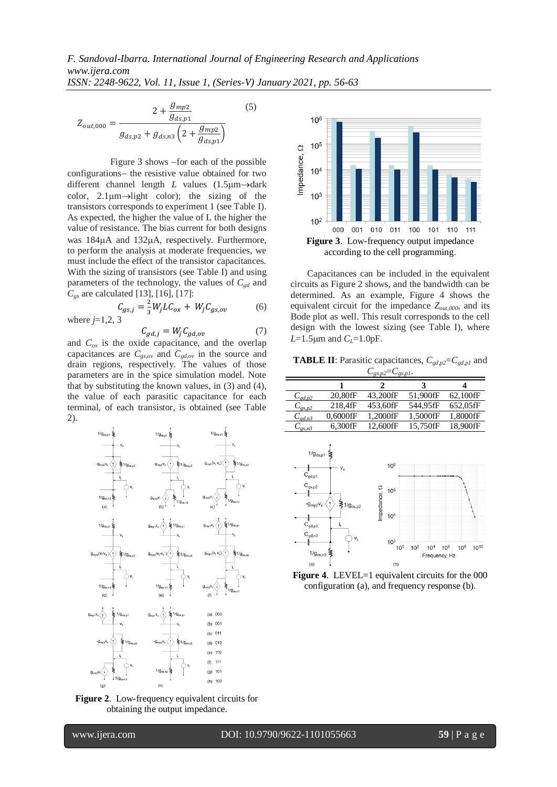$$
Z_{out,000} = \frac{2 + \frac{g_{mp2}}{g_{ds,p1}}}{g_{ds,p2} + g_{ds,n3} \left(2 + \frac{g_{mp2}}{g_{ds,p1}}\right)}
$$
(5)

Figure  $3$  shows  $-$  for each of the possible configurations- the resistive value obtained for two different channel length  $L$  values  $(1.5 \mu m \rightarrow$ dark color,  $2.1\mu m\rightarrow$  light color); the sizing of the transistors corresponds to experiment 1 (see Table I). As expected, the higher the value of L the higher the value of resistance. The bias current for both designs was 184 $\mu$ A and 132 $\mu$ A, respectively. Furthermore, to perform the analysis at moderate frequencies, we must include the effect of the transistor capacitances. With the sizing of transistors (see Table I) and using parameters of the technology, the values of  $C_{gd}$  and *Cgs* are calculated [13], [16], [17]:

$$
C_{gs,j} = \frac{2}{3} W_j L C_{ox} + W_j C_{gs,ov}
$$
 (6) where j=1,2, 3

$$
C_{ad,j} = W_j C_{ad,ov} \tag{7}
$$

and  $C_{ox}$  is the oxide capacitance, and the overlap capacitances are  $C_{gs,ov}$  and  $C_{gd,ov}$  in the source and drain regions, respectively. The values of those parameters are in the spice simulation model. Note that by substituting the known values, in (3) and (4), the value of each parasitic capacitance for each terminal, of each transistor, is obtained (see Table 2).



**Figure 2**. Low-frequency equivalent circuits for obtaining the output impedance.



Capacitances can be included in the equivalent circuits as Figure 2 shows, and the bandwidth can be determined. As an example, Figure 4 shows the equivalent circuit for the impedance *Zout,000*, and its Bode plot as well. This result corresponds to the cell design with the lowest sizing (see Table I), where  $L=1.5 \mu m$  and  $C_L=1.0 pF$ .

**TABLE II**: Parasitic capacitances,  $C_{gd,p2} = C_{gd,p1}$  and  $C_{gs,p2} = C_{gs,p1}$ .

|                               |             |          | 3        |          |
|-------------------------------|-------------|----------|----------|----------|
| $C_{gd,p2}$                   | 20.80fF     | 43.200fF | 51,900fF | 62,100fF |
| $C_{gs,p2}$                   | 218,4fF     | 453.60fF | 544.95fF | 652.05fF |
| $C_{\mathit{ed},\mathit{n}3}$ | $0.6000$ fF | 1.2000fF | 1.5000fF | 1.8000fF |
| $C_{\text{gs},n3}$            | 6.300fF     | 12.600fF | 15.750fF | 18.900fF |



**Figure 4.** LEVEL=1 equivalent circuits for the 000 configuration (a), and frequency response (b).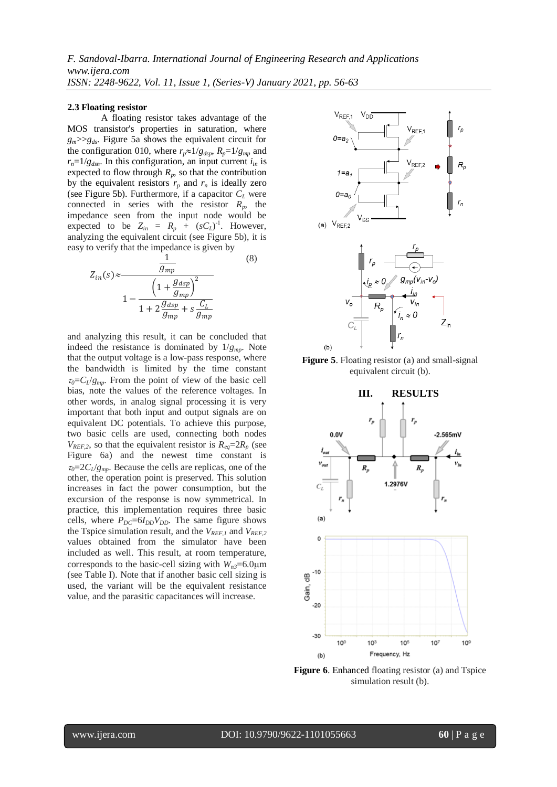#### **2.3 Floating resistor**

A floating resistor takes advantage of the MOS transistor's properties in saturation, where  $g_m$ >> $g_d$ . Figure 5a shows the equivalent circuit for the configuration 010, where  $r_p \approx 1/g_{dyn}$ ,  $R_p = 1/g_{mn}$  and  $r_n = 1/g_{dsn}$ . In this configuration, an input current  $i_{in}$  is expected to flow through  $R_p$ , so that the contribution by the equivalent resistors  $r_p$  and  $r_n$  is ideally zero (see Figure 5b). Furthermore, if a capacitor *C<sup>L</sup>* were connected in series with the resistor  $R_p$ , the impedance seen from the input node would be expected to be  $Z_{in} = R_p + (sC_L)^{-1}$ . However, analyzing the equivalent circuit (see Figure 5b), it is easy to verify that the impedance is given by

$$
Z_{in}(s) \approx \frac{\frac{1}{g_{mp}}}{1 - \frac{\left(1 + \frac{g_{dsp}}{g_{mp}}\right)^2}{1 + 2\frac{g_{dsp}}{g_{mp}} + s\frac{C_L}{g_{mp}}}}
$$
\n
$$
(8)
$$

and analyzing this result, it can be concluded that indeed the resistance is dominated by  $1/g_{mn}$ . Note that the output voltage is a low-pass response, where the bandwidth is limited by the time constant  $\tau_0 = C_l/g_{mp}$ . From the point of view of the basic cell bias, note the values of the reference voltages. In other words, in analog signal processing it is very important that both input and output signals are on equivalent DC potentials. To achieve this purpose, two basic cells are used, connecting both nodes  $V_{REF,2}$ , so that the equivalent resistor is  $R_{ea} = 2R_p$  (see Figure 6a) and the newest time constant is  $\tau_0 = 2C_l/g_{mp}$ . Because the cells are replicas, one of the other, the operation point is preserved. This solution increases in fact the power consumption, but the excursion of the response is now symmetrical. In practice, this implementation requires three basic cells, where  $P_{DC} = 6I_{DD}V_{DD}$ . The same figure shows the Tspice simulation result, and the *VREF,1* and *VREF,2* values obtained from the simulator have been included as well. This result, at room temperature, corresponds to the basic-cell sizing with  $W_{n3}=6.0 \mu m$ (see Table I). Note that if another basic cell sizing is used, the variant will be the equivalent resistance value, and the parasitic capacitances will increase.



**Figure 5**. Floating resistor (a) and small-signal equivalent circuit (b).



**Figure 6.** Enhanced floating resistor (a) and Tspice simulation result (b).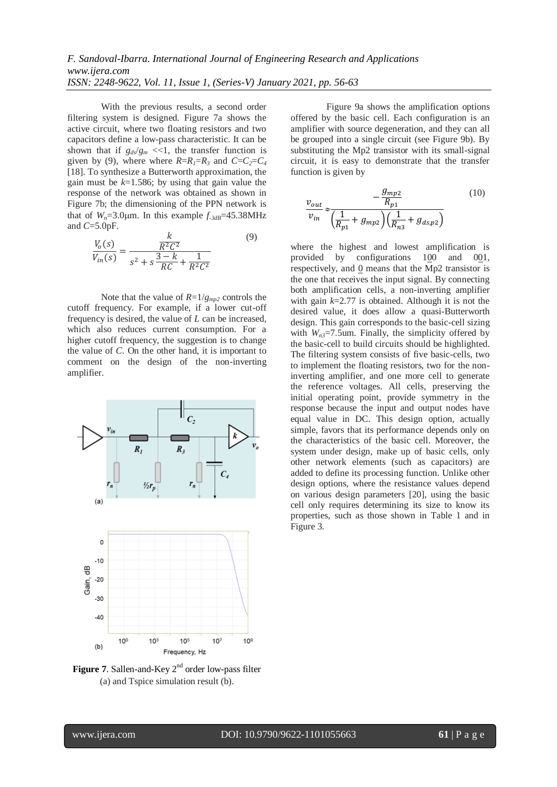With the previous results, a second order filtering system is designed. Figure 7a shows the active circuit, where two floating resistors and two capacitors define a low-pass characteristic. It can be shown that if  $g_{ds}/g_m \ll 1$ , the transfer function is given by (9), where where  $R=R_1=R_3$  and  $C=C_2=C_4$ [18]. To synthesize a Butterworth approximation, the gain must be  $k=1.586$ ; by using that gain value the response of the network was obtained as shown in Figure 7b; the dimensioning of the PPN network is that of  $W_n = 3.0 \mu m$ . In this example  $f_{\text{3dB}} = 45.38 \text{MHz}$ and *C*=5.0pF.

$$
\frac{V_o(s)}{V_{in}(s)} = \frac{\frac{k}{R^2 C^2}}{s^2 + s \frac{3 - k}{RC} + \frac{1}{R^2 C^2}}
$$
(9)

Note that the value of  $R=1/g_{mp2}$  controls the cutoff frequency. For example, if a lower cut-off frequency is desired, the value of *L* can be increased, which also reduces current consumption. For a higher cutoff frequency, the suggestion is to change the value of *C*. On the other hand, it is important to comment on the design of the non-inverting amplifier.



**Figure 7.** Sallen-and-Key 2<sup>nd</sup> order low-pass filter (a) and Tspice simulation result (b).

Figure 9a shows the amplification options offered by the basic cell. Each configuration is an amplifier with source degeneration, and they can all be grouped into a single circuit (see Figure 9b). By substituting the Mp2 transistor with its small-signal circuit, it is easy to demonstrate that the transfer function is given by

$$
\frac{v_{out}}{v_{in}} \approx \frac{-\frac{g_{mp2}}{R_{p1}}}{\left(\frac{1}{R_{p1}} + g_{mp2}\right)\left(\frac{1}{R_{n3}} + g_{ds,p2}\right)}
$$
(10)

where the highest and lowest amplification is provided by configurations  $100$  and  $001$ , respectively, and 0 means that the Mp2 transistor is the one that receives the input signal. By connecting both amplification cells, a non-inverting amplifier with gain *k*=2.77 is obtained. Although it is not the desired value, it does allow a quasi-Butterworth design. This gain corresponds to the basic-cell sizing with  $W_{n3}$ =7.5um. Finally, the simplicity offered by the basic-cell to build circuits should be highlighted. The filtering system consists of five basic-cells, two to implement the floating resistors, two for the noninverting amplifier, and one more cell to generate the reference voltages. All cells, preserving the initial operating point, provide symmetry in the response because the input and output nodes have equal value in DC. This design option, actually simple, favors that its performance depends only on the characteristics of the basic cell. Moreover, the system under design, make up of basic cells, only other network elements (such as capacitors) are added to define its processing function. Unlike other design options, where the resistance values depend on various design parameters [20], using the basic cell only requires determining its size to know its properties, such as those shown in Table 1 and in Figure 3.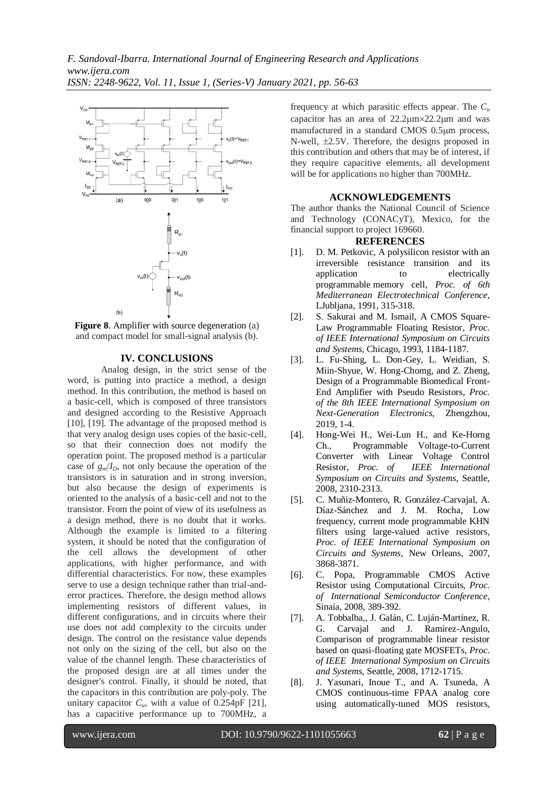

**Figure 8.** Amplifier with source degeneration (a) and compact model for small-signal analysis (b).

#### **IV. CONCLUSIONS**

Analog design, in the strict sense of the word, is putting into practice a method, a design method. In this contribution, the method is based on a basic-cell, which is composed of three transistors and designed according to the Resistive Approach [10], [19]. The advantage of the proposed method is that very analog design uses copies of the basic-cell, so that their connection does not modify the operation point. The proposed method is a particular case of  $g_m/I_D$ , not only because the operation of the transistors is in saturation and in strong inversion, but also because the design of experiments is oriented to the analysis of a basic-cell and not to the transistor. From the point of view of its usefulness as a design method, there is no doubt that it works. Although the example is limited to a filtering system, it should be noted that the configuration of the cell allows the development of other applications, with higher performance, and with differential characteristics. For now, these examples serve to use a design technique rather than trial-anderror practices. Therefore, the design method allows implementing resistors of different values, in different configurations, and in circuits where their use does not add complexity to the circuits under design. The control on the resistance value depends not only on the sizing of the cell, but also on the value of the channel length. These characteristics of the proposed design are at all times under the designer's control. Finally, it should be noted, that the capacitors in this contribution are poly-poly. The unitary capacitor  $C_u$ , with a value of 0.254pF [21], has a capacitive performance up to 700MHz, a

frequency at which parasitic effects appear. The *C<sup>u</sup>* capacitor has an area of  $22.2 \mu m \times 22.2 \mu m$  and was manufactured in a standard CMOS 0.5um process, N-well,  $\pm 2.5V$ . Therefore, the designs proposed in this contribution and others that may be of interest, if they require capacitive elements, all development will be for applications no higher than 700MHz.

#### **ACKNOWLEDGEMENTS**

The author thanks the National Council of Science and Technology (CONACyT), Mexico, for the financial support to project 169660.

#### **REFERENCES**

- [1]. [D. M. Petkovic,](https://ieeexplore-ieee-org.access.biblioteca.cinvestav.mx/author/38246166800) [A polysilicon resistor](https://ieeexplore-ieee-org.access.biblioteca.cinvestav.mx/document/161840/) with an [irreversible resistance transition and its](https://ieeexplore-ieee-org.access.biblioteca.cinvestav.mx/document/161840/)  application to electrically [programmable](https://ieeexplore-ieee-org.access.biblioteca.cinvestav.mx/document/161840/) memory cell, *Proc. of [6th](https://ieeexplore-ieee-org.access.biblioteca.cinvestav.mx/xpl/conhome/522/proceeding)  [Mediterranean Electrotechnical Conference](https://ieeexplore-ieee-org.access.biblioteca.cinvestav.mx/xpl/conhome/522/proceeding)*, LJubljana, 1991, 315-318.
- [2]. S. Sakurai and M. Ismail, A CMOS Square-Law Programmable Floating Resistor, *Proc. of [IEEE International Symposium on Circuits](https://ieeexplore-ieee-org.access.biblioteca.cinvestav.mx/xpl/conhome/1067/proceeding)  [and Systems](https://ieeexplore-ieee-org.access.biblioteca.cinvestav.mx/xpl/conhome/1067/proceeding)*, Chicago, 1993, 1184-1187.
- [3]. L. Fu-Shing, L. Don-Gey, L. Weidian, S. Miin-Shyue, W. Hong-Chomg, and Z. Zheng, Design of a Programmable Biomedical Front-End Amplifier with Pseudo Resistors, *Proc. of the 8th IEEE International Symposium on Next-Generation Electronics*, Zhengzhou, 2019, 1-4.
- [4]. Hong-Wei H., Wei-Lun H., and Ke-Horng Ch., Programmable Voltage-to-Current Converter with Linear Voltage Control Resistor, *Proc. of [IEEE International](https://ieeexplore-ieee-org.access.biblioteca.cinvestav.mx/xpl/conhome/4534149/proceeding)  [Symposium on Circuits and Systems](https://ieeexplore-ieee-org.access.biblioteca.cinvestav.mx/xpl/conhome/4534149/proceeding)*, Seattle, 2008, 2310-2313.
- [5]. C. Muñiz-Montero, R. González-Carvajal, A. Díaz-Sánchez and J. M. Rocha, Low frequency, current mode programmable KHN filters using large-valued active resistors, *Proc. of [IEEE International Symposium on](https://ieeexplore-ieee-org.access.biblioteca.cinvestav.mx/xpl/conhome/4252534/proceeding)  [Circuits and Systems](https://ieeexplore-ieee-org.access.biblioteca.cinvestav.mx/xpl/conhome/4252534/proceeding)*, New Orleans, 2007, 3868-3871.
- [6]. C. Popa, Programmable CMOS Active Resistor using Computational Circuits, *Proc. of [International Semiconductor Conference](https://ieeexplore-ieee-org.access.biblioteca.cinvestav.mx/xpl/conhome/4695815/proceeding)*, Sinaia, 2008, 389-392.
- [7]. A. Tobbalba,, J. Galán, C. Luján-Martínez, R. G. Carvajal and J. Ramírez-Angulo, Comparison of programmable linear resistor based on quasi-floating gate MOSFETs, *Proc. of IEE[E International Symposium on Circuits](https://ieeexplore-ieee-org.access.biblioteca.cinvestav.mx/xpl/conhome/4534149/proceeding)  [and Systems](https://ieeexplore-ieee-org.access.biblioteca.cinvestav.mx/xpl/conhome/4534149/proceeding)*, Seattle, 2008, 1712-1715.
- [8]. J. Yasunari, Inoue T., and A. Tsuneda, A CMOS continuous-time FPAA analog core using automatically-tuned MOS resistors,